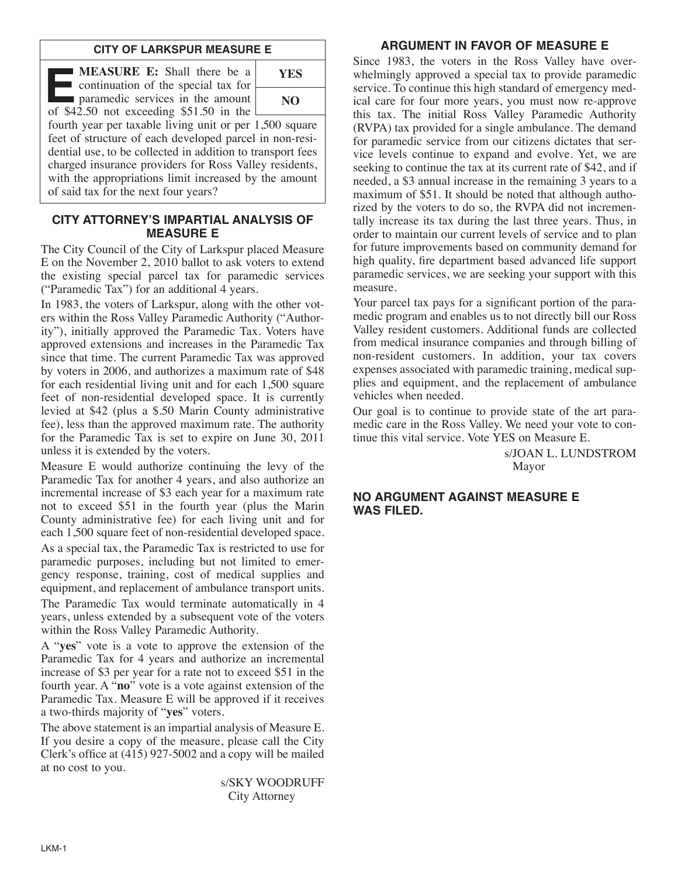#### **CITY OF LARKSPUR MEASURE E**

**E:** Shall there be a<br>continuation of the special tax for<br>paramedic services in the amount<br>of \$42.50 not exceeding \$51.50 in the continuation of the special tax for of \$42.50 not exceeding \$51.50 in the



fourth year per taxable living unit or per 1,500 square feet of structure of each developed parcel in non-residential use, to be collected in addition to transport fees charged insurance providers for Ross Valley residents, with the appropriations limit increased by the amount of said tax for the next four years?

## **CITY ATTORNEY'S IMPARTIAL ANALYSIS OF MEASURE E**

The City Council of the City of Larkspur placed Measure E on the November 2, 2010 ballot to ask voters to extend the existing special parcel tax for paramedic services ("Paramedic Tax") for an additional 4 years.

In 1983, the voters of Larkspur, along with the other voters within the Ross Valley Paramedic Authority ("Authority"), initially approved the Paramedic Tax. Voters have approved extensions and increases in the Paramedic Tax since that time. The current Paramedic Tax was approved by voters in 2006, and authorizes a maximum rate of \$48 for each residential living unit and for each 1,500 square feet of non-residential developed space. It is currently levied at \$42 (plus a \$.50 Marin County administrative fee), less than the approved maximum rate. The authority for the Paramedic Tax is set to expire on June 30, 2011 unless it is extended by the voters.

Measure E would authorize continuing the levy of the Paramedic Tax for another 4 years, and also authorize an incremental increase of \$3 each year for a maximum rate not to exceed \$51 in the fourth year (plus the Marin County administrative fee) for each living unit and for each 1,500 square feet of non-residential developed space. As a special tax, the Paramedic Tax is restricted to use for paramedic purposes, including but not limited to emergency response, training, cost of medical supplies and equipment, and replacement of ambulance transport units. The Paramedic Tax would terminate automatically in 4 years, unless extended by a subsequent vote of the voters

within the Ross Valley Paramedic Authority. A "**yes**" vote is a vote to approve the extension of the Paramedic Tax for 4 years and authorize an incremental increase of \$3 per year for a rate not to exceed \$51 in the fourth year. A "**no**" vote is a vote against extension of the Paramedic Tax. Measure E will be approved if it receives a two-thirds majority of "**yes**" voters.

The above statement is an impartial analysis of Measure E. If you desire a copy of the measure, please call the City Clerk's office at (415) 927-5002 and a copy will be mailed at no cost to you.

> s/SKY WOODRUFF City Attorney

# **ARGUMENT IN FAVOR OF MEASURE E**

Since 1983, the voters in the Ross Valley have overwhelmingly approved a special tax to provide paramedic service. To continue this high standard of emergency medical care for four more years, you must now re-approve this tax. The initial Ross Valley Paramedic Authority (RVPA) tax provided for a single ambulance. The demand for paramedic service from our citizens dictates that service levels continue to expand and evolve. Yet, we are seeking to continue the tax at its current rate of \$42, and if needed, a \$3 annual increase in the remaining 3 years to a maximum of \$51. It should be noted that although authorized by the voters to do so, the RVPA did not incrementally increase its tax during the last three years. Thus, in order to maintain our current levels of service and to plan for future improvements based on community demand for high quality, fire department based advanced life support paramedic services, we are seeking your support with this measure.

Your parcel tax pays for a significant portion of the paramedic program and enables us to not directly bill our Ross Valley resident customers. Additional funds are collected from medical insurance companies and through billing of non-resident customers. In addition, your tax covers expenses associated with paramedic training, medical supplies and equipment, and the replacement of ambulance vehicles when needed.

Our goal is to continue to provide state of the art paramedic care in the Ross Valley. We need your vote to continue this vital service. Vote YES on Measure E.

> s/JOAN L. LUNDSTROM Mayor

## **NO ARGUMENT AGAINST MEASURE E WAS FILED.**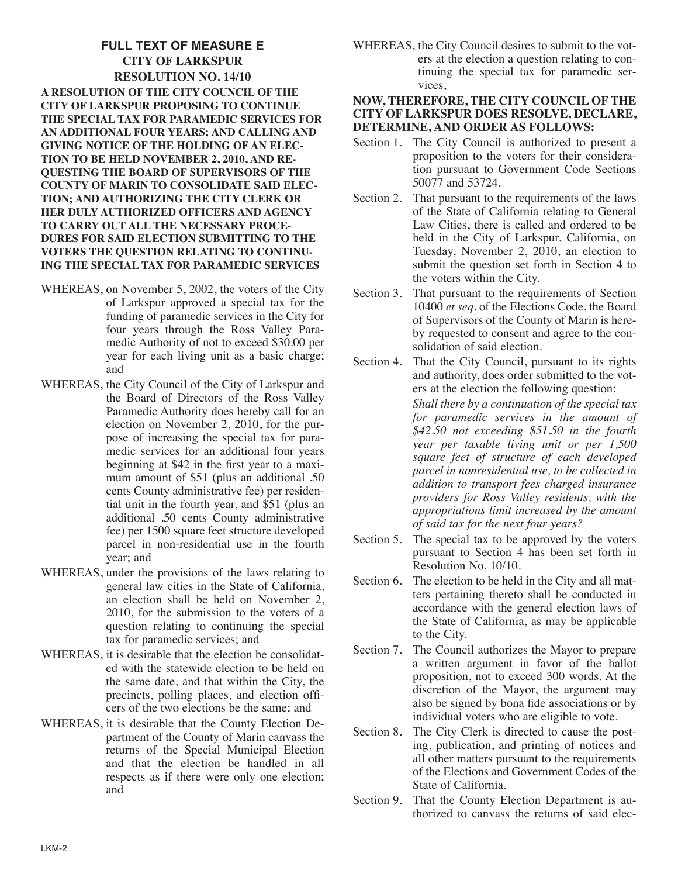# **FULL TEXT OF MEASURE E CITY OF LARKSPUR RESOLUTION NO. 14/10 A RESOLUTION OF THE CITY COUNCIL OF THE CITY OF LARKSPUR PROPOSING TO CONTINUE THE SPECIAL TAX FOR PARAMEDIC SERVICES FOR AN ADDITIONAL FOUR YEARS; AND CALLING AND GIVING NOTICE OF THE HOLDING OF AN ELEC-TION TO BE HELD NOVEMBER 2, 2010, AND RE-QUESTING THE BOARD OF SUPERVISORS OF THE COUNTY OF MARIN TO CONSOLIDATE SAID ELEC-TION; AND AUTHORIZING THE CITY CLERK OR HER DULY AUTHORIZED OFFICERS AND AGENCY TO CARRY OUT ALL THE NECESSARY PROCE-DURES FOR SAID ELECTION SUBMITTING TO THE VOTERS THE QUESTION RELATING TO CONTINU-ING THE SPECIAL TAX FOR PARAMEDIC SERVICES**

- WHEREAS, on November 5, 2002, the voters of the City of Larkspur approved a special tax for the funding of paramedic services in the City for four years through the Ross Valley Paramedic Authority of not to exceed \$30.00 per year for each living unit as a basic charge; and
- WHEREAS, the City Council of the City of Larkspur and the Board of Directors of the Ross Valley Paramedic Authority does hereby call for an election on November 2, 2010, for the purpose of increasing the special tax for paramedic services for an additional four years beginning at \$42 in the first year to a maximum amount of \$51 (plus an additional .50 cents County administrative fee) per residential unit in the fourth year, and \$51 (plus an additional .50 cents County administrative fee) per 1500 square feet structure developed parcel in non-residential use in the fourth year; and
- WHEREAS, under the provisions of the laws relating to general law cities in the State of California, an election shall be held on November 2, 2010, for the submission to the voters of a question relating to continuing the special tax for paramedic services; and
- WHEREAS, it is desirable that the election be consolidated with the statewide election to be held on the same date, and that within the City, the precincts, polling places, and election officers of the two elections be the same; and
- WHEREAS, it is desirable that the County Election Department of the County of Marin canvass the returns of the Special Municipal Election and that the election be handled in all respects as if there were only one election; and

WHEREAS, the City Council desires to submit to the voters at the election a question relating to continuing the special tax for paramedic services,

#### **NOW, THEREFORE, THE CITY COUNCIL OF THE CITY OF LARKSPUR DOES RESOLVE, DECLARE, DETERMINE, AND ORDER AS FOLLOWS:**

- Section 1. The City Council is authorized to present a proposition to the voters for their consideration pursuant to Government Code Sections 50077 and 53724.
- Section 2. That pursuant to the requirements of the laws of the State of California relating to General Law Cities, there is called and ordered to be held in the City of Larkspur, California, on Tuesday, November 2, 2010, an election to submit the question set forth in Section 4 to the voters within the City.
- Section 3. That pursuant to the requirements of Section 10400 *et seq*. of the Elections Code, the Board of Supervisors of the County of Marin is hereby requested to consent and agree to the consolidation of said election.
- Section 4. That the City Council, pursuant to its rights and authority, does order submitted to the voters at the election the following question: *Shall there by a continuation of the special tax for paramedic services in the amount of \$42.50 not exceeding \$51.50 in the fourth year per taxable living unit or per 1,500 square feet of structure of each developed parcel in nonresidential use, to be collected in addition to transport fees charged insurance providers for Ross Valley residents, with the appropriations limit increased by the amount of said tax for the next four years?*
- Section 5. The special tax to be approved by the voters pursuant to Section 4 has been set forth in Resolution No. 10/10.
- Section 6. The election to be held in the City and all matters pertaining thereto shall be conducted in accordance with the general election laws of the State of California, as may be applicable to the City.
- Section 7. The Council authorizes the Mayor to prepare a written argument in favor of the ballot proposition, not to exceed 300 words. At the discretion of the Mayor, the argument may also be signed by bona fide associations or by individual voters who are eligible to vote.
- Section 8. The City Clerk is directed to cause the posting, publication, and printing of notices and all other matters pursuant to the requirements of the Elections and Government Codes of the State of California.
- Section 9. That the County Election Department is authorized to canvass the returns of said elec-